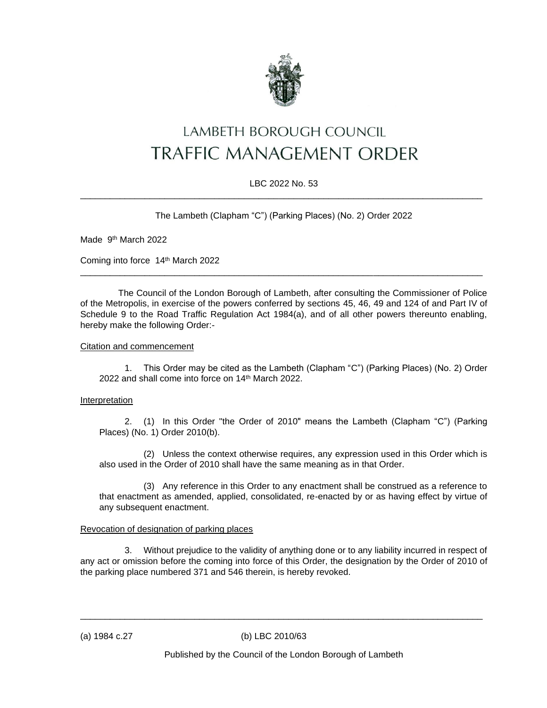

# LAMBETH BOROUGH COUNCIL **TRAFFIC MANAGEMENT ORDER**

# LBC 2022 No. 53 \_\_\_\_\_\_\_\_\_\_\_\_\_\_\_\_\_\_\_\_\_\_\_\_\_\_\_\_\_\_\_\_\_\_\_\_\_\_\_\_\_\_\_\_\_\_\_\_\_\_\_\_\_\_\_\_\_\_\_\_\_\_\_\_\_\_\_\_\_\_\_\_\_\_\_\_\_\_\_\_\_

The Lambeth (Clapham "C") (Parking Places) (No. 2) Order 2022

Made 9<sup>th</sup> March 2022

Coming into force 14th March 2022

The Council of the London Borough of Lambeth, after consulting the Commissioner of Police of the Metropolis, in exercise of the powers conferred by sections 45, 46, 49 and 124 of and Part IV of Schedule 9 to the Road Traffic Regulation Act 1984(a), and of all other powers thereunto enabling, hereby make the following Order:-

\_\_\_\_\_\_\_\_\_\_\_\_\_\_\_\_\_\_\_\_\_\_\_\_\_\_\_\_\_\_\_\_\_\_\_\_\_\_\_\_\_\_\_\_\_\_\_\_\_\_\_\_\_\_\_\_\_\_\_\_\_\_\_\_\_\_\_\_\_\_\_\_\_\_\_\_\_\_\_\_\_

#### Citation and commencement

1. This Order may be cited as the Lambeth (Clapham "C") (Parking Places) (No. 2) Order 2022 and shall come into force on 14<sup>th</sup> March 2022.

# Interpretation

2. (1) In this Order "the Order of 2010" means the Lambeth (Clapham "C") (Parking Places) (No. 1) Order 2010(b).

(2) Unless the context otherwise requires, any expression used in this Order which is also used in the Order of 2010 shall have the same meaning as in that Order.

(3) Any reference in this Order to any enactment shall be construed as a reference to that enactment as amended, applied, consolidated, re-enacted by or as having effect by virtue of any subsequent enactment.

# Revocation of designation of parking places

3. Without prejudice to the validity of anything done or to any liability incurred in respect of any act or omission before the coming into force of this Order, the designation by the Order of 2010 of the parking place numbered 371 and 546 therein, is hereby revoked.

\_\_\_\_\_\_\_\_\_\_\_\_\_\_\_\_\_\_\_\_\_\_\_\_\_\_\_\_\_\_\_\_\_\_\_\_\_\_\_\_\_\_\_\_\_\_\_\_\_\_\_\_\_\_\_\_\_\_\_\_\_\_\_\_\_\_\_\_\_\_\_\_\_\_\_\_\_\_\_\_\_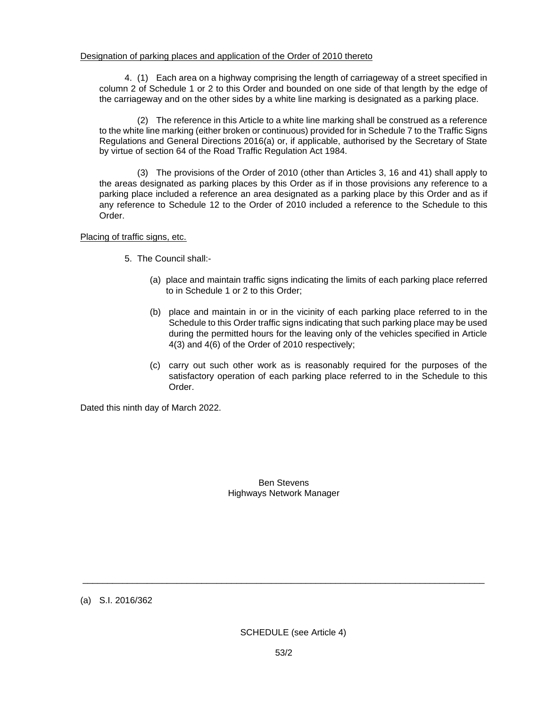#### Designation of parking places and application of the Order of 2010 thereto

4. (1) Each area on a highway comprising the length of carriageway of a street specified in column 2 of Schedule 1 or 2 to this Order and bounded on one side of that length by the edge of the carriageway and on the other sides by a white line marking is designated as a parking place.

(2) The reference in this Article to a white line marking shall be construed as a reference to the white line marking (either broken or continuous) provided for in Schedule 7 to the Traffic Signs Regulations and General Directions 2016(a) or, if applicable, authorised by the Secretary of State by virtue of section 64 of the Road Traffic Regulation Act 1984.

(3) The provisions of the Order of 2010 (other than Articles 3, 16 and 41) shall apply to the areas designated as parking places by this Order as if in those provisions any reference to a parking place included a reference an area designated as a parking place by this Order and as if any reference to Schedule 12 to the Order of 2010 included a reference to the Schedule to this Order.

#### Placing of traffic signs, etc.

- 5. The Council shall:-
	- (a) place and maintain traffic signs indicating the limits of each parking place referred to in Schedule 1 or 2 to this Order;
	- (b) place and maintain in or in the vicinity of each parking place referred to in the Schedule to this Order traffic signs indicating that such parking place may be used during the permitted hours for the leaving only of the vehicles specified in Article 4(3) and 4(6) of the Order of 2010 respectively;
	- (c) carry out such other work as is reasonably required for the purposes of the satisfactory operation of each parking place referred to in the Schedule to this Order.

Dated this ninth day of March 2022.

Ben Stevens Highways Network Manager

(a) S.I. 2016/362

\_\_\_\_\_\_\_\_\_\_\_\_\_\_\_\_\_\_\_\_\_\_\_\_\_\_\_\_\_\_\_\_\_\_\_\_\_\_\_\_\_\_\_\_\_\_\_\_\_\_\_\_\_\_\_\_\_\_\_\_\_\_\_\_\_\_\_\_\_\_\_\_\_\_\_\_\_\_\_\_\_